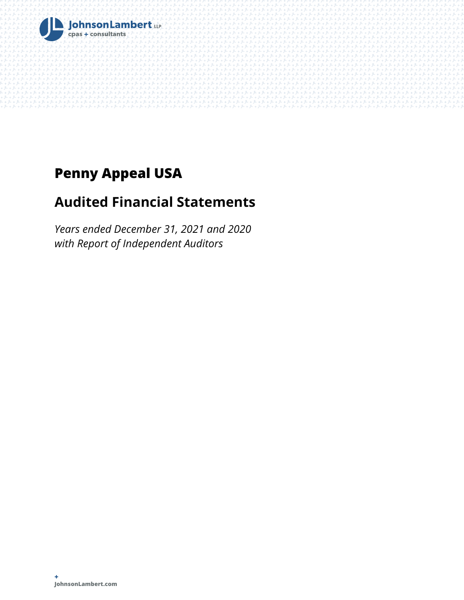

# **Audited Financial Statements**

*Years ended December 31, 2021 and 2020 with Report of Independent Auditors*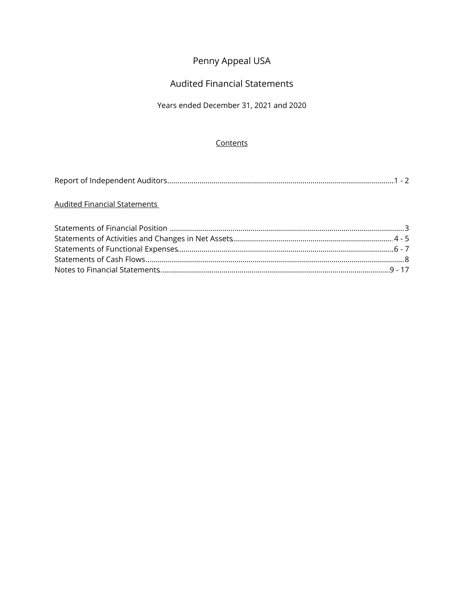## Audited Financial Statements

Years ended December 31, 2021 and 2020

#### **Contents**

|--|

### Audited Financial Statements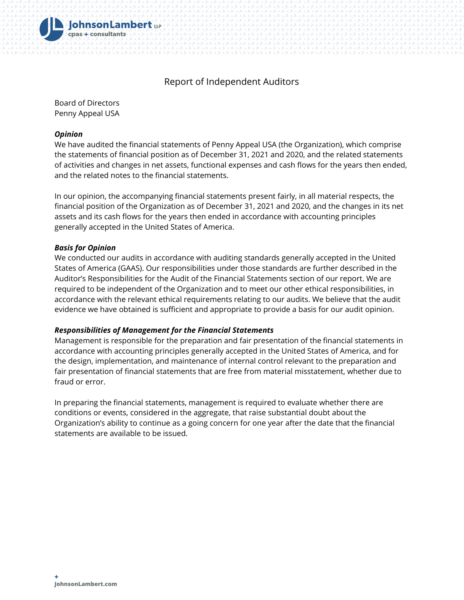

### Report of Independent Auditors

Board of Directors Penny Appeal USA

#### *Opinion*

We have audited the financial statements of Penny Appeal USA (the Organization), which comprise the statements of financial position as of December 31, 2021 and 2020, and the related statements of activities and changes in net assets, functional expenses and cash flows for the years then ended, and the related notes to the financial statements.

In our opinion, the accompanying financial statements present fairly, in all material respects, the financial position of the Organization as of December 31, 2021 and 2020, and the changes in its net assets and its cash flows for the years then ended in accordance with accounting principles generally accepted in the United States of America.

#### *Basis for Opinion*

We conducted our audits in accordance with auditing standards generally accepted in the United States of America (GAAS). Our responsibilities under those standards are further described in the Auditor's Responsibilities for the Audit of the Financial Statements section of our report. We are required to be independent of the Organization and to meet our other ethical responsibilities, in accordance with the relevant ethical requirements relating to our audits. We believe that the audit evidence we have obtained is sufficient and appropriate to provide a basis for our audit opinion.

#### *Responsibilities of Management for the Financial Statements*

Management is responsible for the preparation and fair presentation of the financial statements in accordance with accounting principles generally accepted in the United States of America, and for the design, implementation, and maintenance of internal control relevant to the preparation and fair presentation of financial statements that are free from material misstatement, whether due to fraud or error.

In preparing the financial statements, management is required to evaluate whether there are conditions or events, considered in the aggregate, that raise substantial doubt about the Organization's ability to continue as a going concern for one year after the date that the financial statements are available to be issued.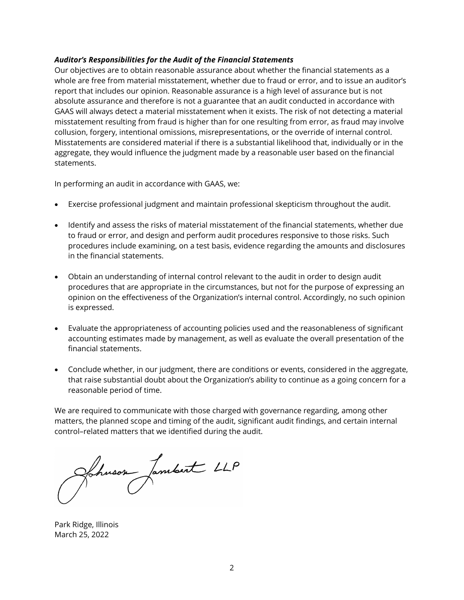#### *Auditor's Responsibilities for the Audit of the Financial Statements*

Our objectives are to obtain reasonable assurance about whether the financial statements as a whole are free from material misstatement, whether due to fraud or error, and to issue an auditor's report that includes our opinion. Reasonable assurance is a high level of assurance but is not absolute assurance and therefore is not a guarantee that an audit conducted in accordance with GAAS will always detect a material misstatement when it exists. The risk of not detecting a material misstatement resulting from fraud is higher than for one resulting from error, as fraud may involve collusion, forgery, intentional omissions, misrepresentations, or the override of internal control. Misstatements are considered material if there is a substantial likelihood that, individually or in the aggregate, they would influence the judgment made by a reasonable user based on the financial statements.

In performing an audit in accordance with GAAS, we:

- Exercise professional judgment and maintain professional skepticism throughout the audit.
- Identify and assess the risks of material misstatement of the financial statements, whether due to fraud or error, and design and perform audit procedures responsive to those risks. Such procedures include examining, on a test basis, evidence regarding the amounts and disclosures in the financial statements.
- Obtain an understanding of internal control relevant to the audit in order to design audit procedures that are appropriate in the circumstances, but not for the purpose of expressing an opinion on the effectiveness of the Organization's internal control. Accordingly, no such opinion is expressed.
- Evaluate the appropriateness of accounting policies used and the reasonableness of significant accounting estimates made by management, as well as evaluate the overall presentation of the financial statements.
- Conclude whether, in our judgment, there are conditions or events, considered in the aggregate, that raise substantial doubt about the Organization's ability to continue as a going concern for a reasonable period of time.

We are required to communicate with those charged with governance regarding, among other matters, the planned scope and timing of the audit, significant audit findings, and certain internal control–related matters that we identified during the audit.

Schuson Jambert LLP

Park Ridge, Illinois March 25, 2022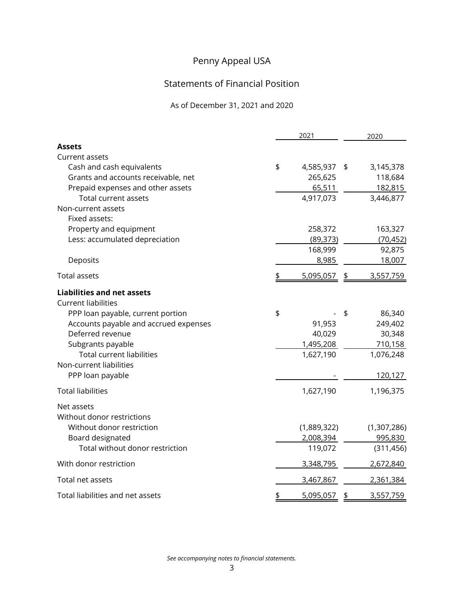## Statements of Financial Position

#### As of December 31, 2021 and 2020

|                                                                 |           | 2020        |    |             |  |
|-----------------------------------------------------------------|-----------|-------------|----|-------------|--|
| <b>Assets</b>                                                   |           |             |    |             |  |
| Current assets                                                  |           |             |    |             |  |
| Cash and cash equivalents                                       | \$        | 4,585,937   | \$ | 3,145,378   |  |
| Grants and accounts receivable, net                             |           | 265,625     |    | 118,684     |  |
| Prepaid expenses and other assets                               |           | 65,511      |    | 182,815     |  |
| <b>Total current assets</b>                                     |           | 4,917,073   |    | 3,446,877   |  |
| Non-current assets                                              |           |             |    |             |  |
| Fixed assets:                                                   |           |             |    |             |  |
| Property and equipment                                          |           | 258,372     |    | 163,327     |  |
| Less: accumulated depreciation                                  |           | (89, 373)   |    | (70, 452)   |  |
|                                                                 |           | 168,999     |    | 92,875      |  |
| Deposits                                                        |           | 8,985       |    | 18,007      |  |
| <b>Total assets</b>                                             |           | 5,095,057   |    | 3,557,759   |  |
| <b>Liabilities and net assets</b><br><b>Current liabilities</b> |           |             |    |             |  |
| PPP loan payable, current portion                               | \$        |             | \$ | 86,340      |  |
| Accounts payable and accrued expenses                           |           | 91,953      |    | 249,402     |  |
| Deferred revenue                                                |           | 40,029      |    | 30,348      |  |
| Subgrants payable                                               |           | 1,495,208   |    | 710,158     |  |
| <b>Total current liabilities</b><br>Non-current liabilities     |           | 1,627,190   |    | 1,076,248   |  |
| PPP loan payable                                                |           |             |    | 120,127     |  |
| <b>Total liabilities</b>                                        |           | 1,627,190   |    | 1,196,375   |  |
| Net assets                                                      |           |             |    |             |  |
| Without donor restrictions<br>Without donor restriction         |           |             |    |             |  |
|                                                                 |           | (1,889,322) |    | (1,307,286) |  |
| Board designated                                                |           | 2,008,394   |    | 995,830     |  |
| Total without donor restriction                                 |           | 119,072     |    | (311, 456)  |  |
| With donor restriction                                          |           | 3,348,795   |    | 2,672,840   |  |
| Total net assets                                                |           | 3,467,867   |    | 2,361,384   |  |
| Total liabilities and net assets                                | <u>\$</u> | 5,095,057   | \$ | 3,557,759   |  |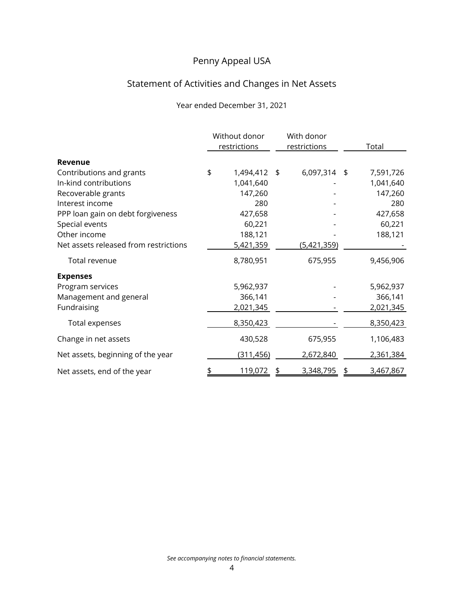## Statement of Activities and Changes in Net Assets

|                                       | Without donor<br>restrictions |                  |     | With donor<br><u>restrictions</u> |      | <b>Total</b> |
|---------------------------------------|-------------------------------|------------------|-----|-----------------------------------|------|--------------|
| <b>Revenue</b>                        |                               |                  |     |                                   |      |              |
| Contributions and grants              | \$                            | 1,494,412        | -\$ | 6,097,314                         | - \$ | 7,591,726    |
| In-kind contributions                 |                               | 1,041,640        |     |                                   |      | 1,041,640    |
| Recoverable grants                    |                               | 147,260          |     |                                   |      | 147,260      |
| Interest income                       |                               | 280              |     |                                   |      | 280          |
| PPP loan gain on debt forgiveness     |                               | 427,658          |     |                                   |      | 427,658      |
| Special events                        |                               | 60,221           |     |                                   |      | 60,221       |
| Other income                          |                               | 188,121          |     |                                   |      | 188,121      |
| Net assets released from restrictions |                               | 5,421,359        |     | (5,421,359)                       |      |              |
| Total revenue                         |                               | 8,780,951        |     | 675,955                           |      | 9,456,906    |
| <b>Expenses</b>                       |                               |                  |     |                                   |      |              |
| Program services                      |                               | 5,962,937        |     |                                   |      | 5,962,937    |
| Management and general                |                               | 366,141          |     |                                   |      | 366,141      |
| Fundraising                           |                               | 2,021,345        |     |                                   |      | 2,021,345    |
| Total expenses                        |                               | 8,350,423        |     |                                   |      | 8,350,423    |
| Change in net assets                  |                               | 430,528          |     | 675,955                           |      | 1,106,483    |
| Net assets, beginning of the year     |                               | <u>(311,456)</u> |     | 2,672,840                         |      | 2,361,384    |
| Net assets, end of the year           |                               | <u>119,072</u>   |     | 3,348,795                         | \$   | 3,467,867    |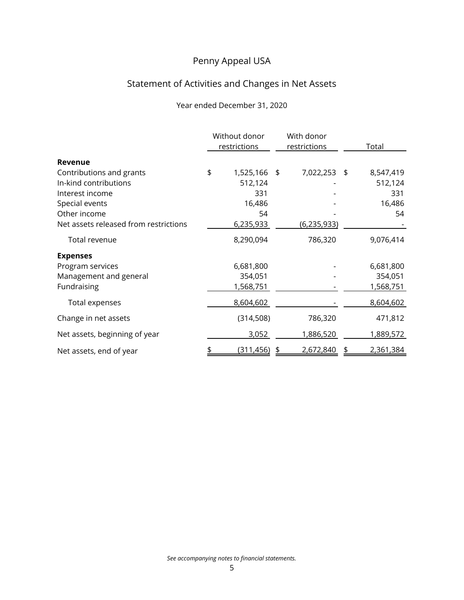## Statement of Activities and Changes in Net Assets

|                                       | Without donor<br><u>restrictions</u> |            |            | With donor<br>restrictions |     | Total     |
|---------------------------------------|--------------------------------------|------------|------------|----------------------------|-----|-----------|
| Revenue                               |                                      |            |            |                            |     |           |
| Contributions and grants              | \$                                   | 1,525,166  | $\sqrt{2}$ | 7,022,253                  | -\$ | 8,547,419 |
| In-kind contributions                 |                                      | 512,124    |            |                            |     | 512,124   |
| Interest income                       |                                      | 331        |            |                            |     | 331       |
| Special events                        |                                      | 16,486     |            |                            |     | 16,486    |
| Other income                          |                                      | 54         |            |                            |     | 54        |
| Net assets released from restrictions |                                      | 6,235,933  |            | (6,235,933)                |     |           |
| Total revenue                         |                                      | 8,290,094  |            | 786,320                    |     | 9,076,414 |
| <b>Expenses</b>                       |                                      |            |            |                            |     |           |
| Program services                      |                                      | 6,681,800  |            |                            |     | 6,681,800 |
| Management and general                |                                      | 354,051    |            |                            |     | 354,051   |
| Fundraising                           |                                      | 1,568,751  |            |                            |     | 1,568,751 |
| Total expenses                        |                                      | 8,604,602  |            |                            |     | 8,604,602 |
| Change in net assets                  |                                      | (314, 508) |            | 786,320                    |     | 471,812   |
| Net assets, beginning of year         |                                      | 3,052      |            | 1,886,520                  |     | 1,889,572 |
| Net assets, end of year               |                                      | (311,456)  |            | 2,672,840                  |     | 2,361,384 |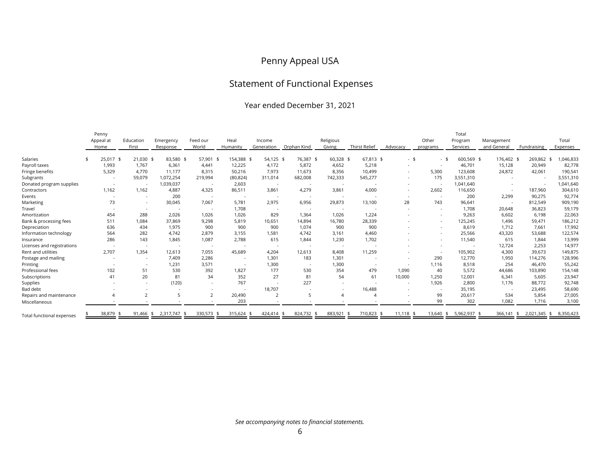## Statement of Functional Expenses

| Salaries<br>Payroll taxes<br>Fringe benefits<br>Subgrants<br>Donated program supplies | Appeal at<br>Home<br>25,017 \$<br>1,993<br>5.329<br>1,162<br>73 | Education<br>First<br>21,030 \$<br>1,767<br>4.770<br>59,079<br>1,162 | Emergency<br>Response<br>83,580 \$<br>6,361<br>11.177<br>1,072,254<br>1,039,037<br>4,887 | Feed our<br>World<br>57,901 \$<br>4,441<br>8,315<br>219,994 | Heal<br>Humanity<br>154,388 \$<br>12,225<br>50,216<br>(80, 824)<br>2,603 | Income<br>Generation<br>54,125 \$<br>4,172<br>7,973<br>311,014 | Orphan Kind<br>76,387 \$<br>5,872<br>11,673 | Religious<br>Giving<br>60,328 \$<br>4,652 | <b>Thirst Relief</b><br>67,813 \$<br>5,218 | Advocacy<br>$-5$ | Other<br>programs<br>$-5$<br>$\overline{\phantom{a}}$ | Program<br>Services<br>600,569 \$<br>46,701 | Management<br>and General<br>176,402 \$<br>15,128 | Fundraising<br>269,862 \$<br>20,949 | Total<br>Expenses<br>1,046,833<br>82,778 |
|---------------------------------------------------------------------------------------|-----------------------------------------------------------------|----------------------------------------------------------------------|------------------------------------------------------------------------------------------|-------------------------------------------------------------|--------------------------------------------------------------------------|----------------------------------------------------------------|---------------------------------------------|-------------------------------------------|--------------------------------------------|------------------|-------------------------------------------------------|---------------------------------------------|---------------------------------------------------|-------------------------------------|------------------------------------------|
|                                                                                       |                                                                 |                                                                      |                                                                                          |                                                             |                                                                          |                                                                |                                             |                                           |                                            |                  |                                                       |                                             |                                                   |                                     |                                          |
|                                                                                       |                                                                 |                                                                      |                                                                                          |                                                             |                                                                          |                                                                |                                             |                                           |                                            |                  |                                                       |                                             |                                                   |                                     |                                          |
|                                                                                       |                                                                 |                                                                      |                                                                                          |                                                             |                                                                          |                                                                |                                             |                                           |                                            |                  |                                                       |                                             |                                                   |                                     |                                          |
|                                                                                       |                                                                 |                                                                      |                                                                                          |                                                             |                                                                          |                                                                |                                             |                                           |                                            |                  |                                                       |                                             |                                                   |                                     |                                          |
|                                                                                       |                                                                 |                                                                      |                                                                                          |                                                             |                                                                          |                                                                |                                             | 8,356                                     | 10,499                                     |                  | 5,300                                                 | 123,608                                     | 24,872                                            | 42,061                              | 190,541                                  |
|                                                                                       |                                                                 |                                                                      |                                                                                          |                                                             |                                                                          |                                                                | 682,008                                     | 742,333                                   | 545,277                                    |                  | 175                                                   | 3,551,310                                   |                                                   |                                     | 3,551,310                                |
|                                                                                       |                                                                 |                                                                      |                                                                                          |                                                             |                                                                          |                                                                |                                             |                                           |                                            |                  | $\overline{\phantom{a}}$                              | 1,041,640                                   |                                                   |                                     | 1,041,640                                |
| Contractors                                                                           |                                                                 |                                                                      |                                                                                          | 4,325                                                       | 86,511                                                                   | 3,861                                                          | 4,279                                       | 3,861                                     | 4,000                                      |                  | 2,602                                                 | 116,650                                     |                                                   | 187,960                             | 304,610                                  |
| Events                                                                                |                                                                 |                                                                      | 200                                                                                      | $\sim$                                                      |                                                                          | $\overline{\phantom{a}}$                                       |                                             |                                           |                                            |                  | $\overline{\phantom{a}}$                              | 200                                         | 2,299                                             | 90,275                              | 92,774                                   |
| Marketing                                                                             |                                                                 | $\overline{\phantom{a}}$                                             | 30,045                                                                                   | 7,067                                                       | 5,781                                                                    | 2,975                                                          | 6,956                                       | 29,873                                    | 13,100                                     | 28               | 743                                                   | 96,641                                      |                                                   | 812,549                             | 909,190                                  |
| Travel                                                                                |                                                                 |                                                                      |                                                                                          |                                                             | 1.708                                                                    |                                                                |                                             |                                           |                                            |                  | $\overline{\phantom{a}}$                              | 1,708                                       | 20,648                                            | 36,823                              | 59,179                                   |
| Amortization                                                                          | 454                                                             | 288                                                                  | 2,026                                                                                    | 1,026                                                       | 1,026                                                                    | 829                                                            | 1,364                                       | 1,026                                     | 1,224                                      |                  | $\overline{\phantom{a}}$                              | 9,263                                       | 6,602                                             | 6,198                               | 22,063                                   |
| Bank & processing fees                                                                | 511                                                             | 1,084                                                                | 37,869                                                                                   | 9,298                                                       | 5,819                                                                    | 10,651                                                         | 14,894                                      | 16,780                                    | 28,339                                     |                  | $\overline{\phantom{a}}$                              | 125,245                                     | 1,496                                             | 59,471                              | 186,212                                  |
| Depreciation                                                                          | 636                                                             | 434                                                                  | 1,975                                                                                    | 900                                                         | 900                                                                      | 900                                                            | 1,074                                       | 900                                       | 900                                        |                  | $\overline{\phantom{a}}$                              | 8,619                                       | 1,712                                             | 7,661                               | 17,992                                   |
| Information technology                                                                | 564                                                             | 282                                                                  | 4.742                                                                                    | 2.879                                                       | 3.155                                                                    | 1,581                                                          | 4.742                                       | 3,161                                     | 4.460                                      |                  | $\overline{\phantom{a}}$                              | 25,566                                      | 43,320                                            | 53,688                              | 122,574                                  |
| Insurance                                                                             | 286                                                             | 143                                                                  | 1,845                                                                                    | 1,087                                                       | 2.788                                                                    | 615                                                            | 1,844                                       | 1,230                                     | 1,702                                      |                  | $\sim$                                                | 11,540                                      | 615                                               | 1,844                               | 13,999                                   |
| Licenses and registrations                                                            |                                                                 | $\sim$                                                               | $\overline{\phantom{a}}$                                                                 | $\sim$                                                      |                                                                          | $\overline{\phantom{a}}$                                       | $\sim$                                      | $\overline{\phantom{a}}$                  |                                            |                  | $\sim$                                                |                                             | 12,724                                            | 2,253                               | 14,977                                   |
| Rent and utilities                                                                    | 2,707                                                           | 1,354                                                                | 12,613                                                                                   | 7,055                                                       | 45.689                                                                   | 4.204                                                          | 12,613                                      | 8.408                                     | 11,259                                     |                  | $\overline{\phantom{a}}$                              | 105,902                                     | 4,300                                             | 39,673                              | 149,875                                  |
| Postage and mailing                                                                   |                                                                 | $\overline{\phantom{a}}$                                             | 7,409                                                                                    | 2,286                                                       |                                                                          | 1,301                                                          | 183                                         | 1,301                                     |                                            |                  | 290                                                   | 12,770                                      | 1,950                                             | 114,276                             | 128,996                                  |
| Printing                                                                              |                                                                 |                                                                      | 1,231                                                                                    | 3,571                                                       |                                                                          | 1,300                                                          | $\sim$                                      | 1,300                                     |                                            |                  | 1,116                                                 | 8,518                                       | 254                                               | 46,470                              | 55,242                                   |
| Professional fees                                                                     | 102                                                             | 51                                                                   | 530                                                                                      | 392                                                         | 1,827                                                                    | 177                                                            | 530                                         | 354                                       | 479                                        | 1.090            | 40                                                    | 5,572                                       | 44,686                                            | 103,890                             | 154,148                                  |
| Subscriptions                                                                         | 41                                                              | 20                                                                   | 81                                                                                       | 34                                                          | 352                                                                      | 27                                                             | 81                                          | 54                                        | 61                                         | 10,000           | 1,250                                                 | 12,001                                      | 6,341                                             | 5,605                               | 23,947                                   |
| Supplies                                                                              |                                                                 |                                                                      | (120)                                                                                    |                                                             | 767                                                                      |                                                                | 227                                         |                                           |                                            |                  | 1,926                                                 | 2,800                                       | 1,176                                             | 88,772                              | 92,748                                   |
| Bad debt                                                                              |                                                                 |                                                                      |                                                                                          |                                                             |                                                                          | 18,707                                                         |                                             |                                           | 16,488                                     |                  | $\sim$                                                | 35,195                                      |                                                   | 23,495                              | 58,690                                   |
| Repairs and maintenance                                                               |                                                                 | $\overline{2}$                                                       |                                                                                          | $\overline{2}$                                              | 20,490                                                                   |                                                                | 5                                           |                                           |                                            |                  | 99                                                    | 20,617                                      | 534                                               | 5.854                               | 27,005                                   |
| Miscellaneous                                                                         |                                                                 |                                                                      |                                                                                          |                                                             | 203                                                                      |                                                                |                                             |                                           |                                            |                  | 99                                                    | 302                                         | 1,082                                             | 1,716                               | 3,100                                    |
| Total functional expenses                                                             | 38,879                                                          | 91,466<br>\$                                                         | 2,317,747                                                                                | 330,573                                                     | 315,624<br>-\$                                                           | 424,414<br>-\$                                                 | 824,732                                     | 883,921                                   | 710,823<br>- \$                            | $11,118$ \$      | 13,640<br>1.5                                         | 5,962,937 \$                                | 366,141                                           | 2,021,345<br>\$                     | 8,350,423<br>\$                          |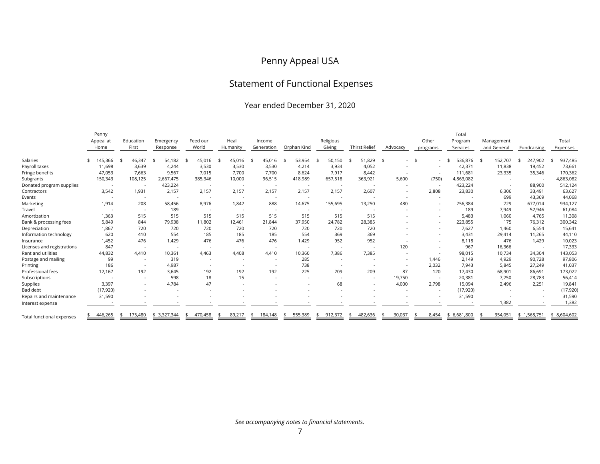## Statement of Functional Expenses

|                                  | Penny     |                          |              |     |                          |      |                          |                          |                          |           |                      |                          |          | Total        |      |             |             |         |              |
|----------------------------------|-----------|--------------------------|--------------|-----|--------------------------|------|--------------------------|--------------------------|--------------------------|-----------|----------------------|--------------------------|----------|--------------|------|-------------|-------------|---------|--------------|
|                                  | Appeal at | Education                | Emergency    |     | Feed our                 |      | Heal                     | Income                   |                          | Religious |                      |                          | Other    | Program      |      | Management  |             |         | Total        |
|                                  | Home      | First                    | Response     |     | World                    |      | Humanity                 | Generation               | Orphan Kind              | Giving    | <b>Thirst Relief</b> | Advocacy                 | programs | Services     |      | and General | Fundraising |         | Expenses     |
| Salaries                         | 145.366   | 46,347                   | 54,182       | -\$ | 45,016                   | - \$ | 45,016                   | 45,016                   | 53,954                   | 50,150    | 51,829               | \$<br>$-5$               |          | 536,876      | - \$ | 152,707     |             | 247,902 | 937,485      |
| Payroll taxes                    | 11,698    | 3,639                    | 4,244        |     | 3,530                    |      | 3,530                    | 3,530                    | 4,214                    | 3,934     | 4,052                |                          |          | 42,371       |      | 11,838      |             | 19,452  | 73,661       |
| Fringe benefits                  | 47,053    | 7,663                    | 9,567        |     | 7,015                    |      | 7,700                    | 7,700                    | 8,624                    | 7,917     | 8,442                |                          |          | 111,681      |      | 23,335      |             | 35,346  | 170,362      |
| Subgrants                        | 150,343   | 108,125                  | 2,667,475    |     | 385,346                  |      | 10,000                   | 96,515                   | 418,989                  | 657,518   | 363,921              | 5,600                    | (750)    | 4,863,082    |      | $\sim$      |             |         | 4,863,082    |
| Donated program supplies         |           |                          | 423,224      |     |                          |      | $\overline{\phantom{a}}$ |                          |                          |           |                      |                          |          | 423,224      |      |             |             | 88,900  | 512,124      |
| Contractors                      | 3,542     | 1,931                    | 2,157        |     | 2,157                    |      | 2,157                    | 2,157                    | 2,157                    | 2,157     | 2,607                |                          | 2,808    | 23,830       |      | 6,306       |             | 33,491  | 63,627       |
| Events                           |           |                          |              |     |                          |      |                          |                          |                          |           |                      |                          |          |              |      | 699         |             | 43,369  | 44,068       |
| Marketing                        | 1,914     | 208                      | 58,456       |     | 8,976                    |      | 1,842                    | 888                      | 14,675                   | 155,695   | 13,250               | 480                      |          | 256,384      |      | 729         |             | 677,014 | 934,127      |
| Travel                           |           |                          | 189          |     |                          |      |                          |                          |                          |           |                      |                          |          | 189          |      | 7,949       |             | 52,946  | 61,084       |
| Amortization                     | 1,363     | 515                      | 515          |     | 515                      |      | 515                      | 515                      | 515                      | 515       | 515                  |                          |          | 5,483        |      | 1,060       |             | 4,765   | 11,308       |
| Bank & processing fees           | 5,849     | 844                      | 79,938       |     | 11,802                   |      | 12,461                   | 21,844                   | 37,950                   | 24,782    | 28,385               |                          | $\sim$   | 223,855      |      | 175         |             | 76,312  | 300,342      |
| Depreciation                     | 1,867     | 720                      | 720          |     | 720                      |      | 720                      | 720                      | 720                      | 720       | 720                  |                          | $\sim$   | 7,627        |      | 1,460       |             | 6,554   | 15,641       |
| Information technology           | 620       | 410                      | 554          |     | 185                      |      | 185                      | 185                      | 554                      | 369       | 369                  |                          |          | 3,431        |      | 29,414      |             | 11,265  | 44,110       |
| Insurance                        | 1,452     | 476                      | 1,429        |     | 476                      |      | 476                      | 476                      | 1,429                    | 952       | 952                  |                          |          | 8,118        |      | 476         |             | 1,429   | 10,023       |
| Licenses and registrations       | 847       | $\sim$                   |              |     | $\overline{\phantom{a}}$ |      |                          | $\overline{\phantom{a}}$ | $\overline{\phantom{a}}$ |           |                      | 120                      |          | 967          |      | 16,366      |             |         | 17,333       |
| Rent and utilities               | 44,832    | 4.410                    | 10,361       |     | 4,463                    |      | 4,408                    | 4,410                    | 10,360                   | 7,386     | 7,385                |                          |          | 98,015       |      | 10,734      |             | 34,304  | 143,053      |
| Postage and mailing              | 99        | $\overline{\phantom{a}}$ | 319          |     | $\overline{\phantom{a}}$ |      |                          |                          | 285                      |           |                      |                          | 1,446    | 2,149        |      | 4,929       |             | 90,728  | 97,806       |
| Printing                         | 186       | ٠                        | 4,987        |     |                          |      |                          |                          | 738                      |           |                      |                          | 2,032    | 7,943        |      | 5,845       |             | 27,249  | 41,037       |
| Professional fees                | 12,167    | 192                      | 3,645        |     | 192                      |      | 192                      | 192                      | 225                      | 209       | 209                  | 87                       | 120      | 17,430       |      | 68,901      |             | 86,691  | 173,022      |
| Subscriptions                    |           | $\overline{\phantom{a}}$ | 598          |     | 18                       |      | 15                       |                          | $\overline{\phantom{a}}$ |           | $\sim$               | 19,750                   |          | 20,381       |      | 7,250       |             | 28,783  | 56,414       |
| Supplies                         | 3,397     | $\sim$                   | 4,784        |     | 47                       |      |                          |                          |                          | 68        |                      | 4,000                    | 2,798    | 15,094       |      | 2,496       |             | 2,251   | 19,841       |
| <b>Bad debt</b>                  | (17, 920) |                          |              |     |                          |      |                          |                          |                          |           |                      | $\overline{\phantom{a}}$ |          | (17,920)     |      |             |             |         | (17, 920)    |
| Repairs and maintenance          | 31,590    |                          |              |     |                          |      |                          |                          |                          |           |                      |                          |          | 31,590       |      |             |             |         | 31,590       |
| Interest expense                 |           |                          |              |     |                          |      |                          |                          |                          |           |                      |                          |          |              |      | 1,382       |             |         | 1,382        |
| <b>Total functional expenses</b> | 446,265   | 175,480                  | \$ 3,327,344 |     | 470,458                  |      | 89,217                   | 184,148                  | 555,389                  | 912,372   | 482,636              | 30,037                   | 8,454    | \$ 6,681,800 |      | 354,051     | \$1,568,751 |         | \$ 8,604,602 |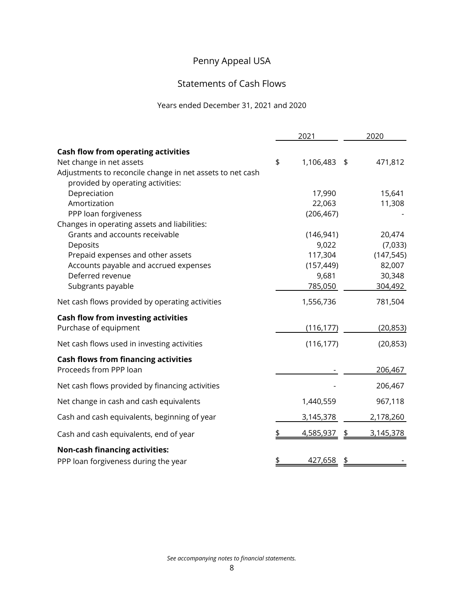## Statements of Cash Flows

Years ended December 31, 2021 and 2020

|                                                           | 2021            | 2020            |
|-----------------------------------------------------------|-----------------|-----------------|
| <b>Cash flow from operating activities</b>                |                 |                 |
| Net change in net assets                                  | \$<br>1,106,483 | \$<br>471,812   |
| Adjustments to reconcile change in net assets to net cash |                 |                 |
| provided by operating activities:                         |                 |                 |
| Depreciation                                              | 17,990          | 15,641          |
| Amortization                                              | 22,063          | 11,308          |
| PPP loan forgiveness                                      | (206, 467)      |                 |
| Changes in operating assets and liabilities:              |                 |                 |
| Grants and accounts receivable                            | (146, 941)      | 20,474          |
| Deposits                                                  | 9,022           | (7,033)         |
| Prepaid expenses and other assets                         | 117,304         | (147, 545)      |
| Accounts payable and accrued expenses                     | (157, 449)      | 82,007          |
| Deferred revenue                                          | 9,681           | 30,348          |
| Subgrants payable                                         | 785,050         | 304,492         |
| Net cash flows provided by operating activities           | 1,556,736       | 781,504         |
| <b>Cash flow from investing activities</b>                |                 |                 |
| Purchase of equipment                                     | (116, 177)      | (20, 853)       |
| Net cash flows used in investing activities               | (116, 177)      | (20, 853)       |
| <b>Cash flows from financing activities</b>               |                 |                 |
| Proceeds from PPP loan                                    |                 | 206,467         |
| Net cash flows provided by financing activities           |                 | 206,467         |
| Net change in cash and cash equivalents                   | 1,440,559       | 967,118         |
| Cash and cash equivalents, beginning of year              | 3,145,378       | 2,178,260       |
| Cash and cash equivalents, end of year                    | 4,585,937       | \$<br>3,145,378 |
| <b>Non-cash financing activities:</b>                     |                 |                 |
| PPP loan forgiveness during the year                      | \$<br>427,658   | \$              |

*See accompanying notes to financial statements.*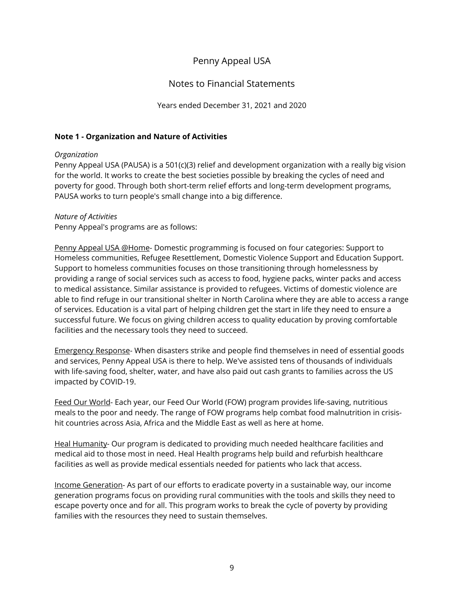### Notes to Financial Statements

Years ended December 31, 2021 and 2020

#### **Note 1 - Organization and Nature of Activities**

#### *Organization*

Penny Appeal USA (PAUSA) is a 501(c)(3) relief and development organization with a really big vision for the world. It works to create the best societies possible by breaking the cycles of need and poverty for good. Through both short-term relief efforts and long-term development programs, PAUSA works to turn people's small change into a big difference.

#### *Nature of Activities*

Penny Appeal's programs are as follows:

Penny Appeal USA @Home- Domestic programming is focused on four categories: Support to Homeless communities, Refugee Resettlement, Domestic Violence Support and Education Support. Support to homeless communities focuses on those transitioning through homelessness by providing a range of social services such as access to food, hygiene packs, winter packs and access to medical assistance. Similar assistance is provided to refugees. Victims of domestic violence are able to find refuge in our transitional shelter in North Carolina where they are able to access a range of services. Education is a vital part of helping children get the start in life they need to ensure a successful future. We focus on giving children access to quality education by proving comfortable facilities and the necessary tools they need to succeed.

Emergency Response- When disasters strike and people find themselves in need of essential goods and services, Penny Appeal USA is there to help. We've assisted tens of thousands of individuals with life-saving food, shelter, water, and have also paid out cash grants to families across the US impacted by COVID-19.

Feed Our World- Each year, our Feed Our World (FOW) program provides life-saving, nutritious meals to the poor and needy. The range of FOW programs help combat food malnutrition in crisishit countries across Asia, Africa and the Middle East as well as here at home.

Heal Humanity- Our program is dedicated to providing much needed healthcare facilities and medical aid to those most in need. Heal Health programs help build and refurbish healthcare facilities as well as provide medical essentials needed for patients who lack that access.

Income Generation- As part of our efforts to eradicate poverty in a sustainable way, our income generation programs focus on providing rural communities with the tools and skills they need to escape poverty once and for all. This program works to break the cycle of poverty by providing families with the resources they need to sustain themselves.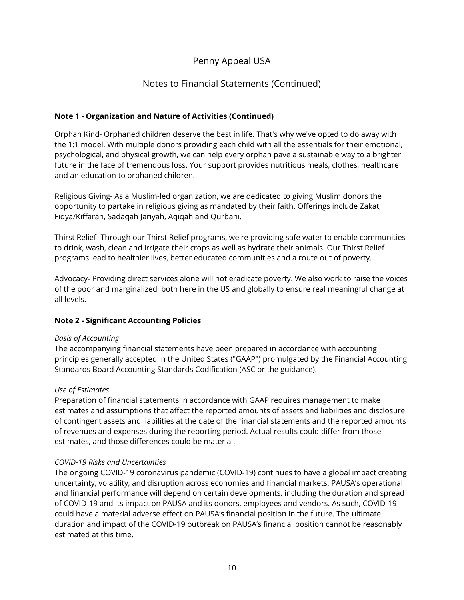## Notes to Financial Statements (Continued)

#### **Note 1 - Organization and Nature of Activities (Continued)**

Orphan Kind- Orphaned children deserve the best in life. That's why we've opted to do away with the 1:1 model. With multiple donors providing each child with all the essentials for their emotional, psychological, and physical growth, we can help every orphan pave a sustainable way to a brighter future in the face of tremendous loss. Your support provides nutritious meals, clothes, healthcare and an education to orphaned children.

Religious Giving- As a Muslim-led organization, we are dedicated to giving Muslim donors the opportunity to partake in religious giving as mandated by their faith. Offerings include Zakat, Fidya/Kiffarah, Sadaqah Jariyah, Aqiqah and Qurbani.

Thirst Relief- Through our Thirst Relief programs, we're providing safe water to enable communities to drink, wash, clean and irrigate their crops as well as hydrate their animals. Our Thirst Relief programs lead to healthier lives, better educated communities and a route out of poverty.

Advocacy- Providing direct services alone will not eradicate poverty. We also work to raise the voices of the poor and marginalized both here in the US and globally to ensure real meaningful change at all levels.

#### **Note 2 - Significant Accounting Policies**

#### *Basis of Accounting*

The accompanying financial statements have been prepared in accordance with accounting principles generally accepted in the United States ("GAAP") promulgated by the Financial Accounting Standards Board Accounting Standards Codification (ASC or the guidance).

#### *Use of Estimates*

Preparation of financial statements in accordance with GAAP requires management to make estimates and assumptions that affect the reported amounts of assets and liabilities and disclosure of contingent assets and liabilities at the date of the financial statements and the reported amounts of revenues and expenses during the reporting period. Actual results could differ from those estimates, and those differences could be material.

#### *COVID-19 Risks and Uncertainties*

The ongoing COVID-19 coronavirus pandemic (COVID-19) continues to have a global impact creating uncertainty, volatility, and disruption across economies and financial markets. PAUSA's operational and financial performance will depend on certain developments, including the duration and spread of COVID-19 and its impact on PAUSA and its donors, employees and vendors. As such, COVID-19 could have a material adverse effect on PAUSA's financial position in the future. The ultimate duration and impact of the COVID-19 outbreak on PAUSA's financial position cannot be reasonably estimated at this time.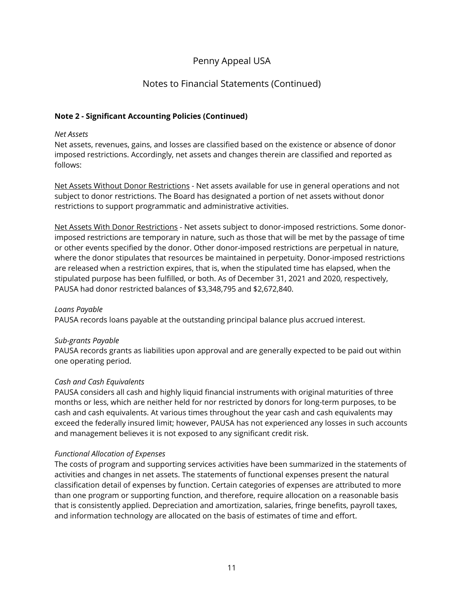## Notes to Financial Statements (Continued)

#### **Note 2 - Significant Accounting Policies (Continued)**

#### *Net Assets*

Net assets, revenues, gains, and losses are classified based on the existence or absence of donor imposed restrictions. Accordingly, net assets and changes therein are classified and reported as follows:

Net Assets Without Donor Restrictions - Net assets available for use in general operations and not subject to donor restrictions. The Board has designated a portion of net assets without donor restrictions to support programmatic and administrative activities.

Net Assets With Donor Restrictions - Net assets subject to donor-imposed restrictions. Some donorimposed restrictions are temporary in nature, such as those that will be met by the passage of time or other events specified by the donor. Other donor-imposed restrictions are perpetual in nature, where the donor stipulates that resources be maintained in perpetuity. Donor-imposed restrictions are released when a restriction expires, that is, when the stipulated time has elapsed, when the stipulated purpose has been fulfilled, or both. As of December 31, 2021 and 2020, respectively, PAUSA had donor restricted balances of \$3,348,795 and \$2,672,840.

#### *Loans Payable*

PAUSA records loans payable at the outstanding principal balance plus accrued interest.

#### *Sub-grants Payable*

PAUSA records grants as liabilities upon approval and are generally expected to be paid out within one operating period.

#### *Cash and Cash Equivalents*

PAUSA considers all cash and highly liquid financial instruments with original maturities of three months or less, which are neither held for nor restricted by donors for long-term purposes, to be cash and cash equivalents. At various times throughout the year cash and cash equivalents may exceed the federally insured limit; however, PAUSA has not experienced any losses in such accounts and management believes it is not exposed to any significant credit risk.

#### *Functional Allocation of Expenses*

The costs of program and supporting services activities have been summarized in the statements of activities and changes in net assets. The statements of functional expenses present the natural classification detail of expenses by function. Certain categories of expenses are attributed to more than one program or supporting function, and therefore, require allocation on a reasonable basis that is consistently applied. Depreciation and amortization, salaries, fringe benefits, payroll taxes, and information technology are allocated on the basis of estimates of time and effort.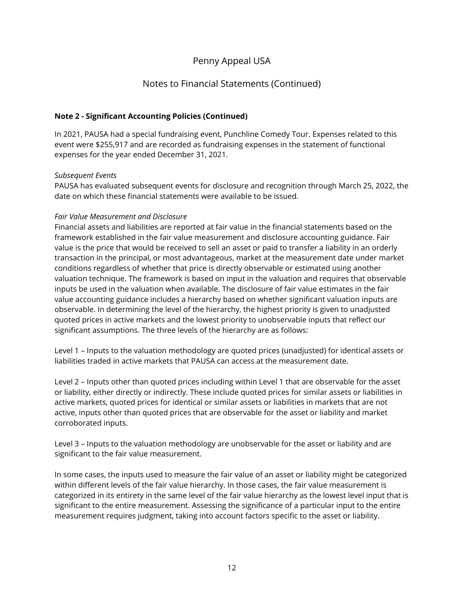## Notes to Financial Statements (Continued)

#### **Note 2 - Significant Accounting Policies (Continued)**

In 2021, PAUSA had a special fundraising event, Punchline Comedy Tour. Expenses related to this event were \$255,917 and are recorded as fundraising expenses in the statement of functional expenses for the year ended December 31, 2021.

#### *Subsequent Events*

PAUSA has evaluated subsequent events for disclosure and recognition through March 25, 2022, the date on which these financial statements were available to be issued.

#### *Fair Value Measurement and Disclosure*

Financial assets and liabilities are reported at fair value in the financial statements based on the framework established in the fair value measurement and disclosure accounting guidance. Fair value is the price that would be received to sell an asset or paid to transfer a liability in an orderly transaction in the principal, or most advantageous, market at the measurement date under market conditions regardless of whether that price is directly observable or estimated using another valuation technique. The framework is based on input in the valuation and requires that observable inputs be used in the valuation when available. The disclosure of fair value estimates in the fair value accounting guidance includes a hierarchy based on whether significant valuation inputs are observable. In determining the level of the hierarchy, the highest priority is given to unadjusted quoted prices in active markets and the lowest priority to unobservable inputs that reflect our significant assumptions. The three levels of the hierarchy are as follows:

Level 1 – Inputs to the valuation methodology are quoted prices (unadjusted) for identical assets or liabilities traded in active markets that PAUSA can access at the measurement date.

Level 2 – Inputs other than quoted prices including within Level 1 that are observable for the asset or liability, either directly or indirectly. These include quoted prices for similar assets or liabilities in active markets, quoted prices for identical or similar assets or liabilities in markets that are not active, inputs other than quoted prices that are observable for the asset or liability and market corroborated inputs.

Level 3 – Inputs to the valuation methodology are unobservable for the asset or liability and are significant to the fair value measurement.

In some cases, the inputs used to measure the fair value of an asset or liability might be categorized within different levels of the fair value hierarchy. In those cases, the fair value measurement is categorized in its entirety in the same level of the fair value hierarchy as the lowest level input that is significant to the entire measurement. Assessing the significance of a particular input to the entire measurement requires judgment, taking into account factors specific to the asset or liability.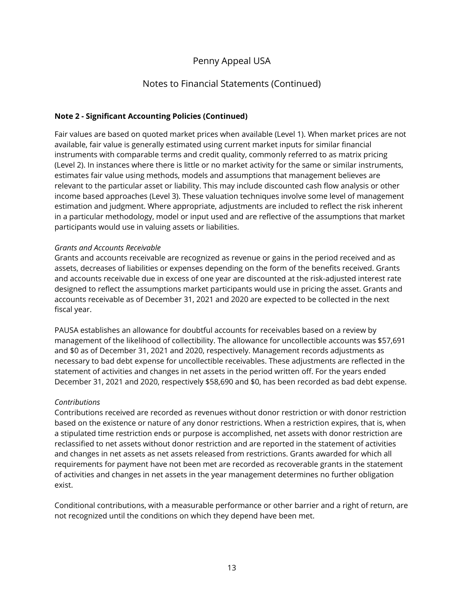## Notes to Financial Statements (Continued)

#### **Note 2 - Significant Accounting Policies (Continued)**

Fair values are based on quoted market prices when available (Level 1). When market prices are not available, fair value is generally estimated using current market inputs for similar financial instruments with comparable terms and credit quality, commonly referred to as matrix pricing (Level 2). In instances where there is little or no market activity for the same or similar instruments, estimates fair value using methods, models and assumptions that management believes are relevant to the particular asset or liability. This may include discounted cash flow analysis or other income based approaches (Level 3). These valuation techniques involve some level of management estimation and judgment. Where appropriate, adjustments are included to reflect the risk inherent in a particular methodology, model or input used and are reflective of the assumptions that market participants would use in valuing assets or liabilities.

#### *Grants and Accounts Receivable*

Grants and accounts receivable are recognized as revenue or gains in the period received and as assets, decreases of liabilities or expenses depending on the form of the benefits received. Grants and accounts receivable due in excess of one year are discounted at the risk-adjusted interest rate designed to reflect the assumptions market participants would use in pricing the asset. Grants and accounts receivable as of December 31, 2021 and 2020 are expected to be collected in the next fiscal year.

PAUSA establishes an allowance for doubtful accounts for receivables based on a review by management of the likelihood of collectibility. The allowance for uncollectible accounts was \$57,691 and \$0 as of December 31, 2021 and 2020, respectively. Management records adjustments as necessary to bad debt expense for uncollectible receivables. These adjustments are reflected in the statement of activities and changes in net assets in the period written off. For the years ended December 31, 2021 and 2020, respectively \$58,690 and \$0, has been recorded as bad debt expense.

#### *Contributions*

Contributions received are recorded as revenues without donor restriction or with donor restriction based on the existence or nature of any donor restrictions. When a restriction expires, that is, when a stipulated time restriction ends or purpose is accomplished, net assets with donor restriction are reclassified to net assets without donor restriction and are reported in the statement of activities and changes in net assets as net assets released from restrictions. Grants awarded for which all requirements for payment have not been met are recorded as recoverable grants in the statement of activities and changes in net assets in the year management determines no further obligation exist.

Conditional contributions, with a measurable performance or other barrier and a right of return, are not recognized until the conditions on which they depend have been met.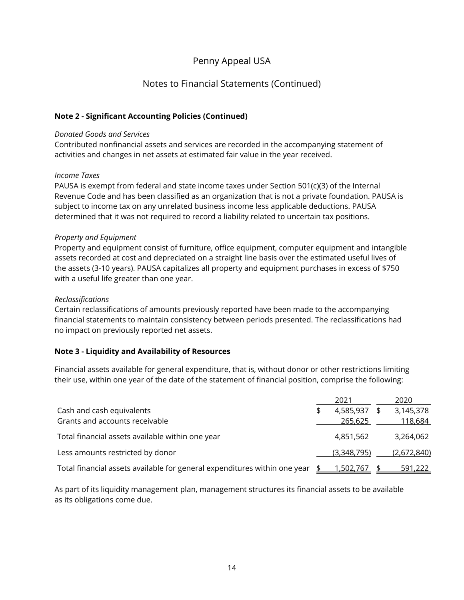### Notes to Financial Statements (Continued)

#### **Note 2 - Significant Accounting Policies (Continued)**

#### *Donated Goods and Services*

Contributed nonfinancial assets and services are recorded in the accompanying statement of activities and changes in net assets at estimated fair value in the year received.

#### *Income Taxes*

PAUSA is exempt from federal and state income taxes under Section 501(c)(3) of the Internal Revenue Code and has been classified as an organization that is not a private foundation. PAUSA is subject to income tax on any unrelated business income less applicable deductions. PAUSA determined that it was not required to record a liability related to uncertain tax positions.

#### *Property and Equipment*

Property and equipment consist of furniture, office equipment, computer equipment and intangible assets recorded at cost and depreciated on a straight line basis over the estimated useful lives of the assets (3-10 years). PAUSA capitalizes all property and equipment purchases in excess of \$750 with a useful life greater than one year.

#### *Reclassifications*

Certain reclassifications of amounts previously reported have been made to the accompanying financial statements to maintain consistency between periods presented. The reclassifications had no impact on previously reported net assets.

#### **Note 3 - Liquidity and Availability of Resources**

Financial assets available for general expenditure, that is, without donor or other restrictions limiting their use, within one year of the date of the statement of financial position, comprise the following:

|                                                                           | 2021        | 2020        |
|---------------------------------------------------------------------------|-------------|-------------|
| Cash and cash equivalents                                                 | 4,585,937   | 3,145,378   |
| Grants and accounts receivable                                            | 265,625     | 118,684     |
| Total financial assets available within one year                          | 4,851,562   | 3,264,062   |
| Less amounts restricted by donor                                          | (3,348,795) | (2,672,840) |
| Total financial assets available for general expenditures within one year | 1,502,767   | 591,222     |

As part of its liquidity management plan, management structures its financial assets to be available as its obligations come due.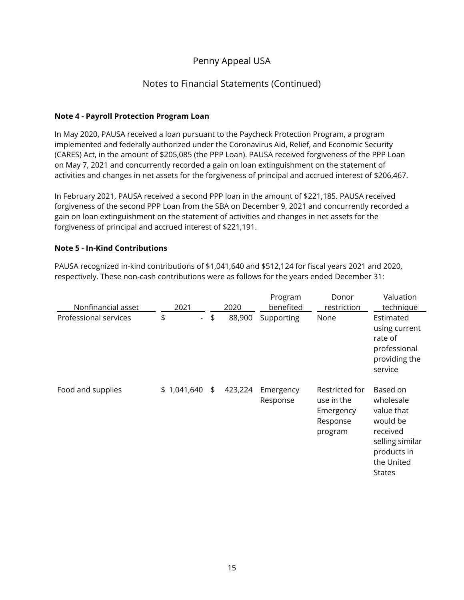### Notes to Financial Statements (Continued)

#### **Note 4 - Payroll Protection Program Loan**

In May 2020, PAUSA received a loan pursuant to the Paycheck Protection Program, a program implemented and federally authorized under the Coronavirus Aid, Relief, and Economic Security (CARES) Act, in the amount of \$205,085 (the PPP Loan). PAUSA received forgiveness of the PPP Loan on May 7, 2021 and concurrently recorded a gain on loan extinguishment on the statement of activities and changes in net assets for the forgiveness of principal and accrued interest of \$206,467.

In February 2021, PAUSA received a second PPP loan in the amount of \$221,185. PAUSA received forgiveness of the second PPP Loan from the SBA on December 9, 2021 and concurrently recorded a gain on loan extinguishment on the statement of activities and changes in net assets for the forgiveness of principal and accrued interest of \$221,191.

#### **Note 5 - In-Kind Contributions**

PAUSA recognized in-kind contributions of \$1,041,640 and \$512,124 for fiscal years 2021 and 2020, respectively. These non-cash contributions were as follows for the years ended December 31:

|                                             |                                        |                      | Program                 | Donor                                                            | Valuation                                                                                                                    |
|---------------------------------------------|----------------------------------------|----------------------|-------------------------|------------------------------------------------------------------|------------------------------------------------------------------------------------------------------------------------------|
| Nonfinancial asset<br>Professional services | 2021<br>\$<br>$\overline{\phantom{0}}$ | \$<br>2020<br>88,900 | benefited<br>Supporting | restriction<br>None                                              | technique<br>Estimated<br>using current<br>rate of<br>professional<br>providing the<br>service                               |
| Food and supplies                           | \$1,041,640                            | \$<br>423,224        | Emergency<br>Response   | Restricted for<br>use in the<br>Emergency<br>Response<br>program | Based on<br>wholesale<br>value that<br>would be<br>received<br>selling similar<br>products in<br>the United<br><b>States</b> |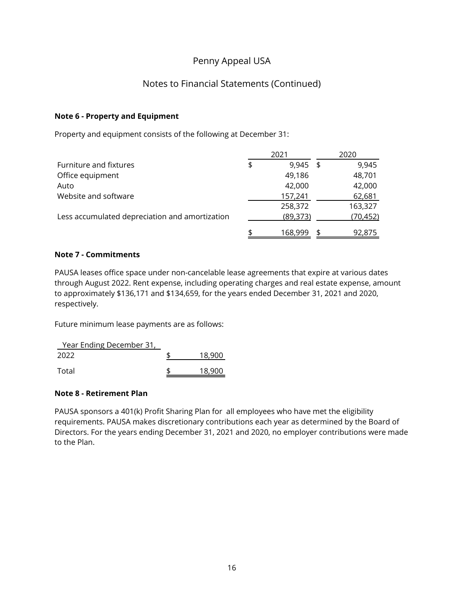## Notes to Financial Statements (Continued)

#### **Note 6 - Property and Equipment**

Property and equipment consists of the following at December 31:

|                                                | 2021        | 2020        |
|------------------------------------------------|-------------|-------------|
| Furniture and fixtures                         | \$<br>9,945 | \$<br>9,945 |
| Office equipment                               | 49,186      | 48,701      |
| Auto                                           | 42,000      | 42,000      |
| Website and software                           | 157,241     | 62,681      |
|                                                | 258,372     | 163,327     |
| Less accumulated depreciation and amortization | (89, 373)   | (70, 452)   |
|                                                | 168,999     | 92,875      |

#### **Note 7 - Commitments**

PAUSA leases office space under non-cancelable lease agreements that expire at various dates through August 2022. Rent expense, including operating charges and real estate expense, amount to approximately \$136,171 and \$134,659, for the years ended December 31, 2021 and 2020, respectively.

Future minimum lease payments are as follows:

| Year Ending December 31, |        |
|--------------------------|--------|
| 2022                     | 18.900 |
| Total                    | 18.90C |
|                          |        |

#### **Note 8 - Retirement Plan**

PAUSA sponsors a 401(k) Profit Sharing Plan for all employees who have met the eligibility requirements. PAUSA makes discretionary contributions each year as determined by the Board of Directors. For the years ending December 31, 2021 and 2020, no employer contributions were made to the Plan.